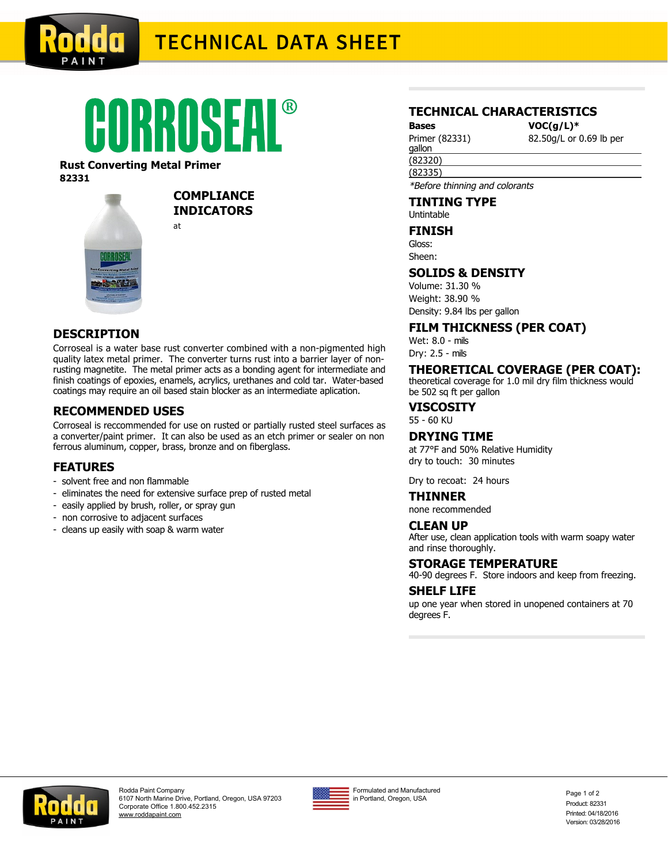

# **TECHNICAL DATA SHEET**

# CORROSEAL®

#### **Rust Converting Metal Primer 82331**



**COMPLIANCE INDICATORS** at

## **DESCRIPTION**

Corroseal is a water base rust converter combined with a non-pigmented high quality latex metal primer. The converter turns rust into a barrier layer of nonrusting magnetite. The metal primer acts as a bonding agent for intermediate and finish coatings of epoxies, enamels, acrylics, urethanes and cold tar. Water-based coatings may require an oil based stain blocker as an intermediate aplication.

#### **RECOMMENDED USES**

Corroseal is reccommended for use on rusted or partially rusted steel surfaces as a converter/paint primer. It can also be used as an etch primer or sealer on non ferrous aluminum, copper, brass, bronze and on fiberglass.

#### **FEATURES**

- solvent free and non flammable
- eliminates the need for extensive surface prep of rusted metal
- easily applied by brush, roller, or spray gun
- non corrosive to adjacent surfaces
- cleans up easily with soap & warm water

#### **TECHNICAL CHARACTERISTICS**

**Bases VOC(g/L)\*** Primer (82331)

82.50g/L or 0.69 lb per

(82320) gallon

\*Before thinning and colorants

**TINTING TYPE**

Untintable

### **FINISH**

(82335)

Gloss: Sheen:

#### **SOLIDS & DENSITY**

Volume: 31.30 % Weight: 38.90 % Density: 9.84 lbs per gallon

**FILM THICKNESS (PER COAT)**

Wet: 8.0 - mils Dry: 2.5 - mils

#### **THEORETICAL COVERAGE (PER COAT):**

theoretical coverage for 1.0 mil dry film thickness would be 502 sq ft per gallon

**VISCOSITY**

55 - 60 KU

#### **DRYING TIME**

at 77°F and 50% Relative Humidity dry to touch: 30 minutes

Dry to recoat: 24 hours

#### **THINNER**

none recommended

#### **CLEAN UP**

After use, clean application tools with warm soapy water and rinse thoroughly.

#### **STORAGE TEMPERATURE**

40-90 degrees F. Store indoors and keep from freezing.

#### **SHELF LIFE**

up one year when stored in unopened containers at 70 degrees F.